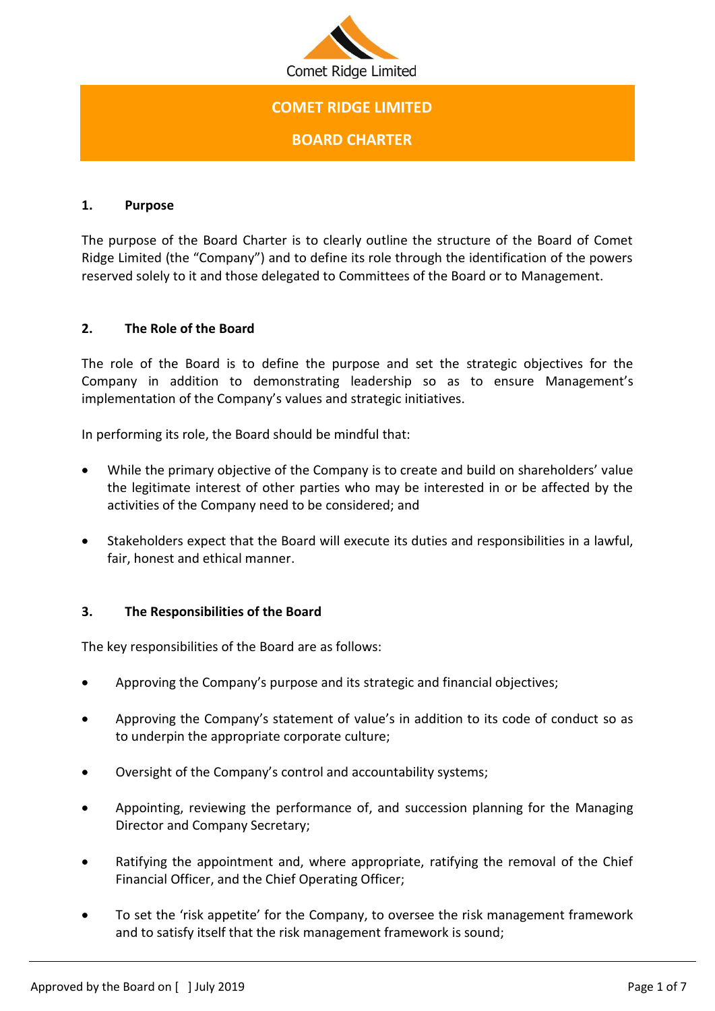

# **COMET RIDGE LIMITED**

**BOARD CHARTER**

#### **1. Purpose**

The purpose of the Board Charter is to clearly outline the structure of the Board of Comet Ridge Limited (the "Company") and to define its role through the identification of the powers reserved solely to it and those delegated to Committees of the Board or to Management.

# **2. The Role of the Board**

The role of the Board is to define the purpose and set the strategic objectives for the Company in addition to demonstrating leadership so as to ensure Management's implementation of the Company's values and strategic initiatives.

In performing its role, the Board should be mindful that:

- While the primary objective of the Company is to create and build on shareholders' value the legitimate interest of other parties who may be interested in or be affected by the activities of the Company need to be considered; and
- Stakeholders expect that the Board will execute its duties and responsibilities in a lawful, fair, honest and ethical manner.

# **3. The Responsibilities of the Board**

The key responsibilities of the Board are as follows:

- Approving the Company's purpose and its strategic and financial objectives;
- Approving the Company's statement of value's in addition to its code of conduct so as to underpin the appropriate corporate culture;
- Oversight of the Company's control and accountability systems;
- Appointing, reviewing the performance of, and succession planning for the Managing Director and Company Secretary;
- Ratifying the appointment and, where appropriate, ratifying the removal of the Chief Financial Officer, and the Chief Operating Officer;
- To set the 'risk appetite' for the Company, to oversee the risk management framework and to satisfy itself that the risk management framework is sound;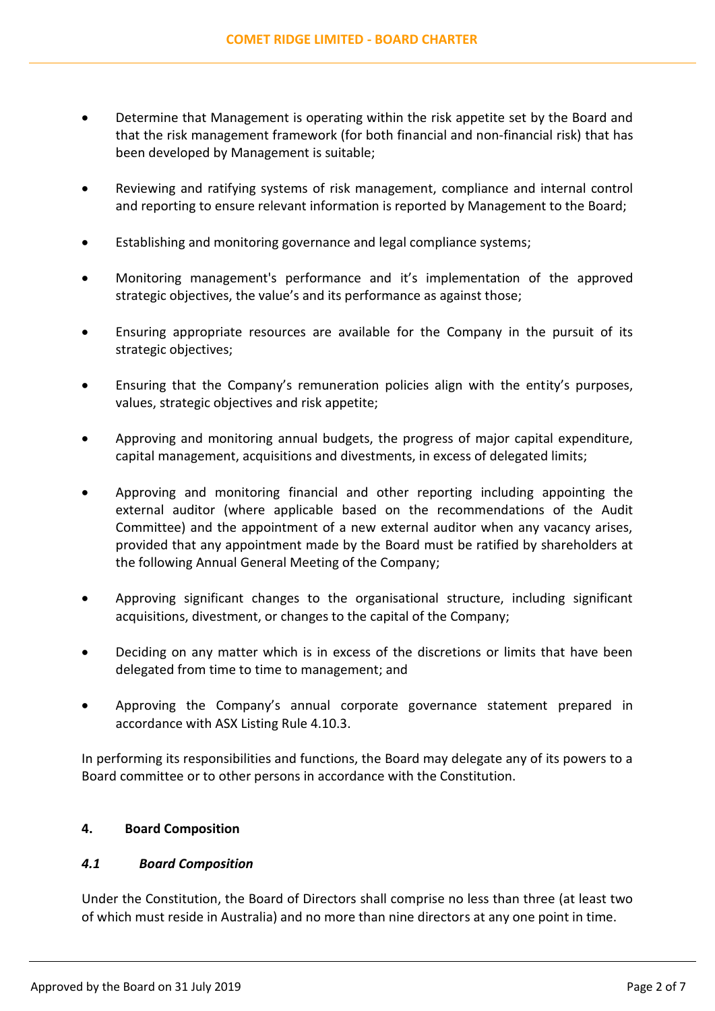- Determine that Management is operating within the risk appetite set by the Board and that the risk management framework (for both financial and non-financial risk) that has been developed by Management is suitable;
- Reviewing and ratifying systems of risk management, compliance and internal control and reporting to ensure relevant information is reported by Management to the Board;
- Establishing and monitoring governance and legal compliance systems;
- Monitoring management's performance and it's implementation of the approved strategic objectives, the value's and its performance as against those;
- Ensuring appropriate resources are available for the Company in the pursuit of its strategic objectives;
- Ensuring that the Company's remuneration policies align with the entity's purposes, values, strategic objectives and risk appetite;
- Approving and monitoring annual budgets, the progress of major capital expenditure, capital management, acquisitions and divestments, in excess of delegated limits;
- Approving and monitoring financial and other reporting including appointing the external auditor (where applicable based on the recommendations of the Audit Committee) and the appointment of a new external auditor when any vacancy arises, provided that any appointment made by the Board must be ratified by shareholders at the following Annual General Meeting of the Company;
- Approving significant changes to the organisational structure, including significant acquisitions, divestment, or changes to the capital of the Company;
- Deciding on any matter which is in excess of the discretions or limits that have been delegated from time to time to management; and
- Approving the Company's annual corporate governance statement prepared in accordance with ASX Listing Rule 4.10.3.

In performing its responsibilities and functions, the Board may delegate any of its powers to a Board committee or to other persons in accordance with the Constitution.

# **4. Board Composition**

# *4.1 Board Composition*

Under the Constitution, the Board of Directors shall comprise no less than three (at least two of which must reside in Australia) and no more than nine directors at any one point in time.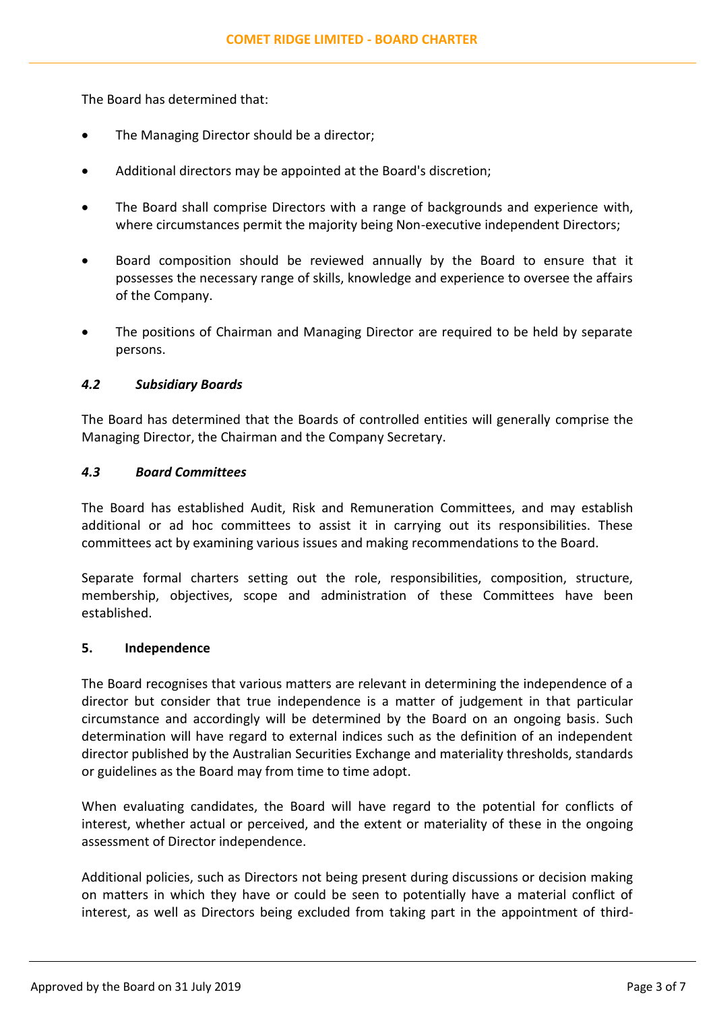The Board has determined that:

- The Managing Director should be a director;
- Additional directors may be appointed at the Board's discretion;
- The Board shall comprise Directors with a range of backgrounds and experience with, where circumstances permit the majority being Non-executive independent Directors;
- Board composition should be reviewed annually by the Board to ensure that it possesses the necessary range of skills, knowledge and experience to oversee the affairs of the Company.
- The positions of Chairman and Managing Director are required to be held by separate persons.

# *4.2 Subsidiary Boards*

The Board has determined that the Boards of controlled entities will generally comprise the Managing Director, the Chairman and the Company Secretary.

#### *4.3 Board Committees*

The Board has established Audit, Risk and Remuneration Committees, and may establish additional or ad hoc committees to assist it in carrying out its responsibilities. These committees act by examining various issues and making recommendations to the Board.

Separate formal charters setting out the role, responsibilities, composition, structure, membership, objectives, scope and administration of these Committees have been established.

#### **5. Independence**

The Board recognises that various matters are relevant in determining the independence of a director but consider that true independence is a matter of judgement in that particular circumstance and accordingly will be determined by the Board on an ongoing basis. Such determination will have regard to external indices such as the definition of an independent director published by the Australian Securities Exchange and materiality thresholds, standards or guidelines as the Board may from time to time adopt.

When evaluating candidates, the Board will have regard to the potential for conflicts of interest, whether actual or perceived, and the extent or materiality of these in the ongoing assessment of Director independence.

Additional policies, such as Directors not being present during discussions or decision making on matters in which they have or could be seen to potentially have a material conflict of interest, as well as Directors being excluded from taking part in the appointment of third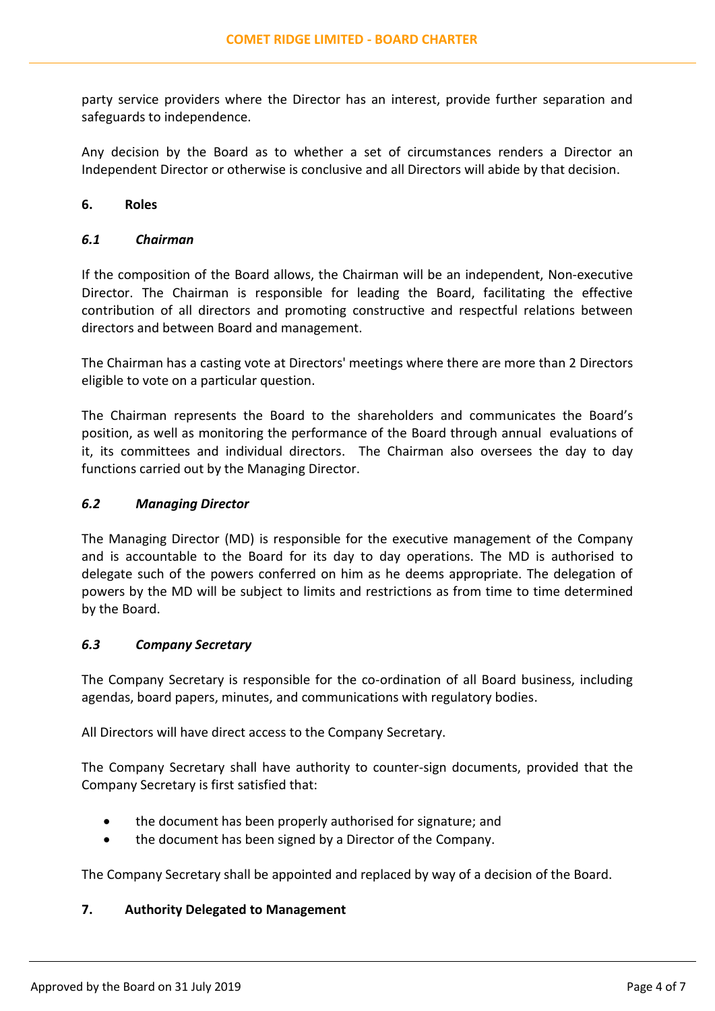party service providers where the Director has an interest, provide further separation and safeguards to independence.

Any decision by the Board as to whether a set of circumstances renders a Director an Independent Director or otherwise is conclusive and all Directors will abide by that decision.

#### **6. Roles**

#### *6.1 Chairman*

If the composition of the Board allows, the Chairman will be an independent, Non-executive Director. The Chairman is responsible for leading the Board, facilitating the effective contribution of all directors and promoting constructive and respectful relations between directors and between Board and management.

The Chairman has a casting vote at Directors' meetings where there are more than 2 Directors eligible to vote on a particular question.

The Chairman represents the Board to the shareholders and communicates the Board's position, as well as monitoring the performance of the Board through annual evaluations of it, its committees and individual directors. The Chairman also oversees the day to day functions carried out by the Managing Director.

#### *6.2 Managing Director*

The Managing Director (MD) is responsible for the executive management of the Company and is accountable to the Board for its day to day operations. The MD is authorised to delegate such of the powers conferred on him as he deems appropriate. The delegation of powers by the MD will be subject to limits and restrictions as from time to time determined by the Board.

# *6.3 Company Secretary*

The Company Secretary is responsible for the co-ordination of all Board business, including agendas, board papers, minutes, and communications with regulatory bodies.

All Directors will have direct access to the Company Secretary.

The Company Secretary shall have authority to counter-sign documents, provided that the Company Secretary is first satisfied that:

- the document has been properly authorised for signature; and
- the document has been signed by a Director of the Company.

The Company Secretary shall be appointed and replaced by way of a decision of the Board.

# **7. Authority Delegated to Management**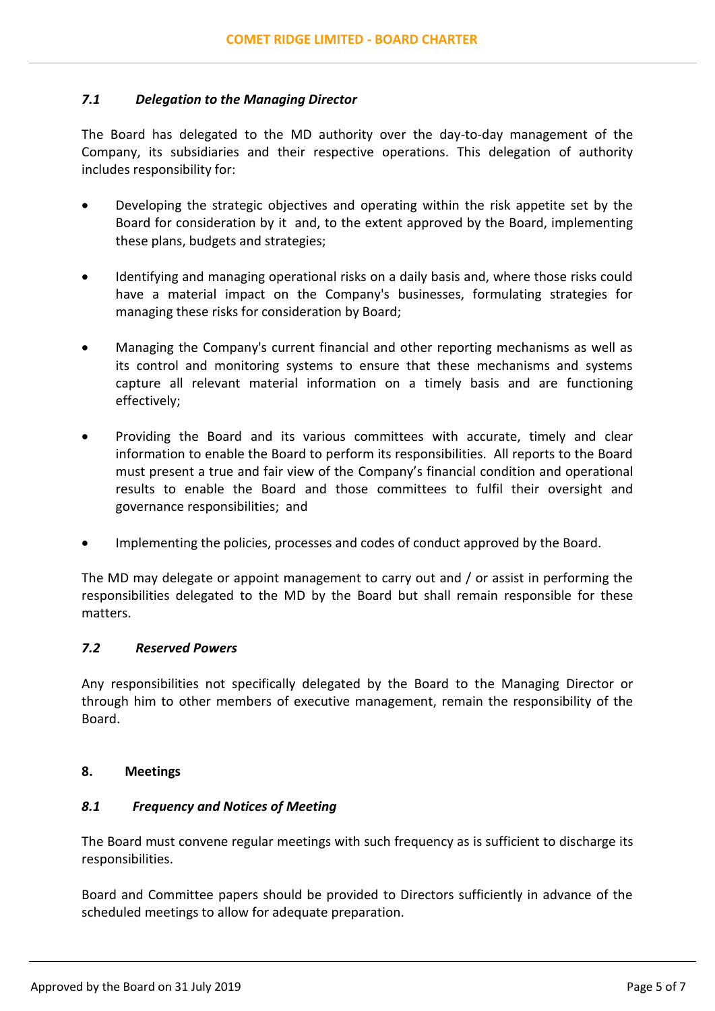# *7.1 Delegation to the Managing Director*

The Board has delegated to the MD authority over the day-to-day management of the Company, its subsidiaries and their respective operations. This delegation of authority includes responsibility for:

- Developing the strategic objectives and operating within the risk appetite set by the Board for consideration by it and, to the extent approved by the Board, implementing these plans, budgets and strategies;
- Identifying and managing operational risks on a daily basis and, where those risks could have a material impact on the Company's businesses, formulating strategies for managing these risks for consideration by Board;
- Managing the Company's current financial and other reporting mechanisms as well as its control and monitoring systems to ensure that these mechanisms and systems capture all relevant material information on a timely basis and are functioning effectively;
- Providing the Board and its various committees with accurate, timely and clear information to enable the Board to perform its responsibilities. All reports to the Board must present a true and fair view of the Company's financial condition and operational results to enable the Board and those committees to fulfil their oversight and governance responsibilities; and
- Implementing the policies, processes and codes of conduct approved by the Board.

The MD may delegate or appoint management to carry out and / or assist in performing the responsibilities delegated to the MD by the Board but shall remain responsible for these matters.

# *7.2 Reserved Powers*

Any responsibilities not specifically delegated by the Board to the Managing Director or through him to other members of executive management, remain the responsibility of the Board.

# **8. Meetings**

# *8.1 Frequency and Notices of Meeting*

The Board must convene regular meetings with such frequency as is sufficient to discharge its responsibilities.

Board and Committee papers should be provided to Directors sufficiently in advance of the scheduled meetings to allow for adequate preparation.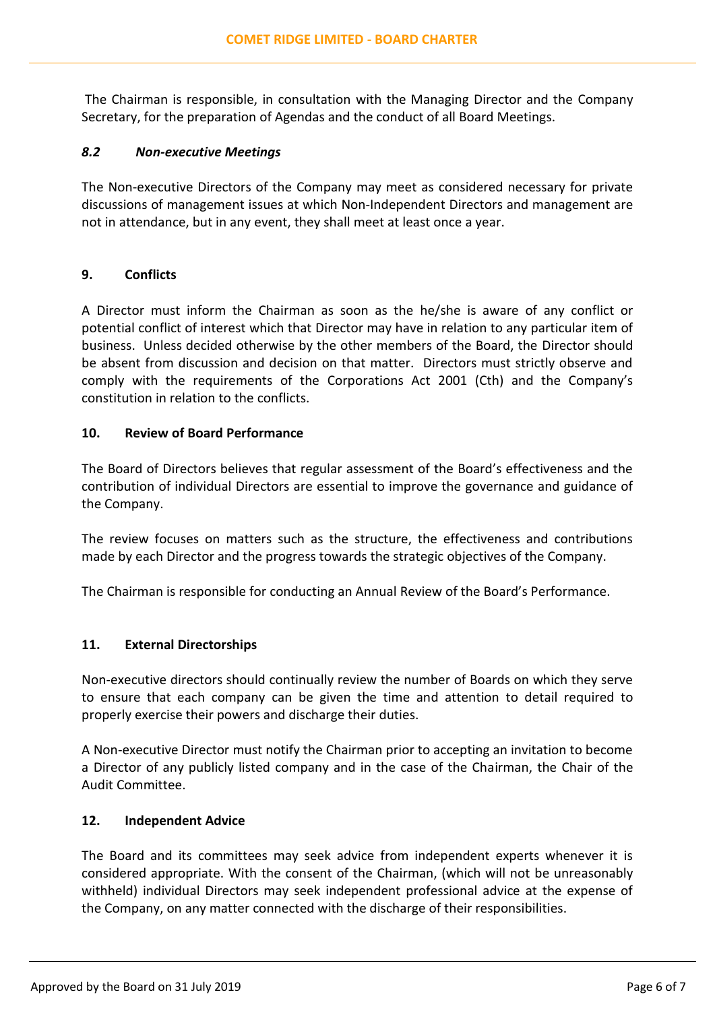The Chairman is responsible, in consultation with the Managing Director and the Company Secretary, for the preparation of Agendas and the conduct of all Board Meetings.

#### *8.2 Non-executive Meetings*

The Non-executive Directors of the Company may meet as considered necessary for private discussions of management issues at which Non-Independent Directors and management are not in attendance, but in any event, they shall meet at least once a year.

## **9. Conflicts**

A Director must inform the Chairman as soon as the he/she is aware of any conflict or potential conflict of interest which that Director may have in relation to any particular item of business. Unless decided otherwise by the other members of the Board, the Director should be absent from discussion and decision on that matter. Directors must strictly observe and comply with the requirements of the Corporations Act 2001 (Cth) and the Company's constitution in relation to the conflicts.

#### **10. Review of Board Performance**

The Board of Directors believes that regular assessment of the Board's effectiveness and the contribution of individual Directors are essential to improve the governance and guidance of the Company.

The review focuses on matters such as the structure, the effectiveness and contributions made by each Director and the progress towards the strategic objectives of the Company.

The Chairman is responsible for conducting an Annual Review of the Board's Performance.

# **11. External Directorships**

Non-executive directors should continually review the number of Boards on which they serve to ensure that each company can be given the time and attention to detail required to properly exercise their powers and discharge their duties.

A Non-executive Director must notify the Chairman prior to accepting an invitation to become a Director of any publicly listed company and in the case of the Chairman, the Chair of the Audit Committee.

#### **12. Independent Advice**

The Board and its committees may seek advice from independent experts whenever it is considered appropriate. With the consent of the Chairman, (which will not be unreasonably withheld) individual Directors may seek independent professional advice at the expense of the Company, on any matter connected with the discharge of their responsibilities.